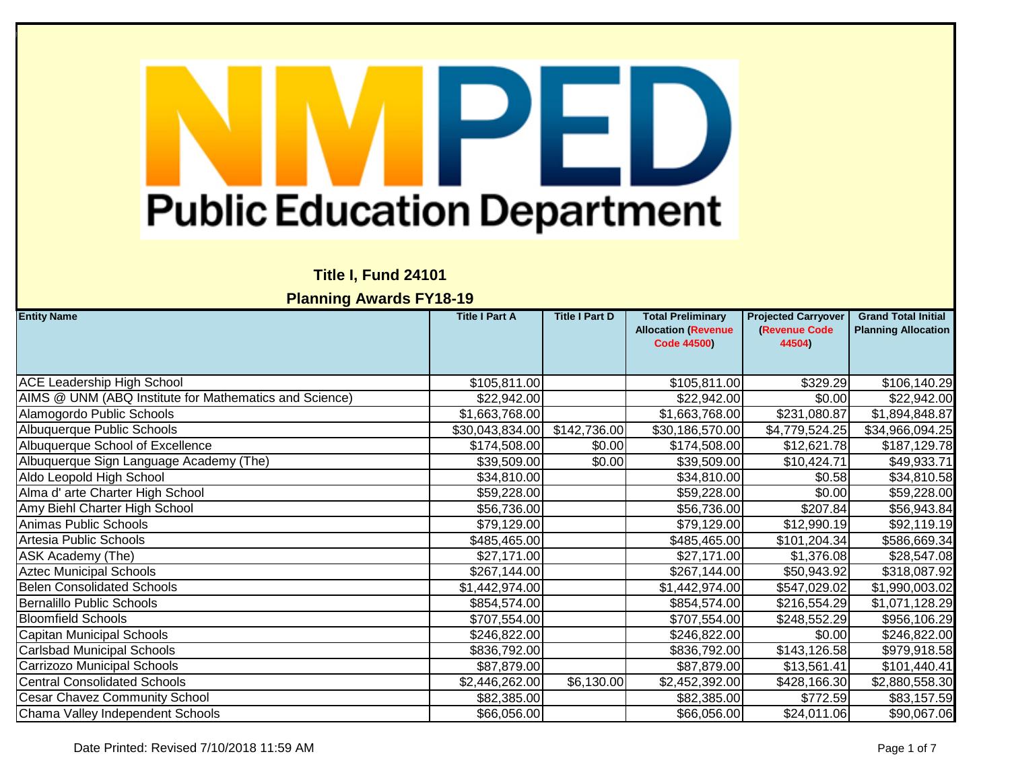#### **Title I, Fund 24101**

| <b>Entity Name</b>                                     | <b>Title I Part A</b> | <b>Title I Part D</b> | <b>Total Preliminary</b><br><b>Allocation (Revenue</b> | <b>Projected Carryover</b><br>(Revenue Code | <b>Grand Total Initial</b><br><b>Planning Allocation</b> |
|--------------------------------------------------------|-----------------------|-----------------------|--------------------------------------------------------|---------------------------------------------|----------------------------------------------------------|
|                                                        |                       |                       | <b>Code 44500)</b>                                     | 44504)                                      |                                                          |
|                                                        |                       |                       |                                                        |                                             |                                                          |
| <b>ACE Leadership High School</b>                      | \$105,811.00          |                       | \$105,811.00                                           | \$329.29                                    | \$106,140.29                                             |
| AIMS @ UNM (ABQ Institute for Mathematics and Science) | \$22,942.00           |                       | \$22,942.00                                            | \$0.00                                      | \$22,942.00                                              |
| Alamogordo Public Schools                              | \$1,663,768.00        |                       | \$1,663,768.00                                         | \$231,080.87                                | \$1,894,848.87                                           |
| Albuquerque Public Schools                             | \$30,043,834.00       | \$142,736.00          | \$30,186,570.00                                        | \$4,779,524.25                              | \$34,966,094.25                                          |
| Albuquerque School of Excellence                       | \$174,508.00          | \$0.00                | \$174,508.00                                           | \$12,621.78                                 | \$187,129.78                                             |
| Albuquerque Sign Language Academy (The)                | \$39,509.00           | \$0.00                | \$39,509.00                                            | \$10,424.71                                 | \$49,933.71                                              |
| Aldo Leopold High School                               | \$34,810.00           |                       | \$34,810.00                                            | \$0.58                                      | \$34,810.58                                              |
| Alma d' arte Charter High School                       | \$59,228.00           |                       | \$59,228.00                                            | \$0.00                                      | \$59,228.00                                              |
| Amy Biehl Charter High School                          | \$56,736.00           |                       | \$56,736.00                                            | \$207.84                                    | \$56,943.84                                              |
| Animas Public Schools                                  | \$79,129.00           |                       | \$79,129.00                                            | \$12,990.19                                 | \$92,119.19                                              |
| Artesia Public Schools                                 | \$485,465.00          |                       | \$485,465.00                                           | \$101,204.34                                | \$586,669.34                                             |
| ASK Academy (The)                                      | \$27,171.00           |                       | \$27,171.00                                            | \$1,376.08                                  | \$28,547.08                                              |
| <b>Aztec Municipal Schools</b>                         | \$267,144.00          |                       | \$267,144.00                                           | \$50,943.92                                 | \$318,087.92                                             |
| <b>Belen Consolidated Schools</b>                      | \$1,442,974.00        |                       | \$1,442,974.00                                         | \$547,029.02                                | \$1,990,003.02                                           |
| <b>Bernalillo Public Schools</b>                       | \$854,574.00          |                       | \$854,574.00                                           | \$216,554.29                                | \$1,071,128.29                                           |
| <b>Bloomfield Schools</b>                              | \$707,554.00          |                       | \$707,554.00                                           | \$248,552.29                                | \$956,106.29                                             |
| Capitan Municipal Schools                              | \$246,822.00          |                       | \$246,822.00                                           | \$0.00                                      | \$246,822.00                                             |
| <b>Carlsbad Municipal Schools</b>                      | \$836,792.00          |                       | \$836,792.00                                           | \$143,126.58                                | \$979,918.58                                             |
| Carrizozo Municipal Schools                            | \$87,879.00           |                       | \$87,879.00                                            | \$13,561.41                                 | \$101,440.41                                             |
| <b>Central Consolidated Schools</b>                    | \$2,446,262.00        | \$6,130.00            | \$2,452,392.00                                         | \$428,166.30                                | \$2,880,558.30                                           |
| <b>Cesar Chavez Community School</b>                   | \$82,385.00           |                       | \$82,385.00                                            | \$772.59                                    | \$83,157.59                                              |
| Chama Valley Independent Schools                       | \$66,056.00           |                       | \$66,056.00                                            | \$24,011.06                                 | \$90,067.06                                              |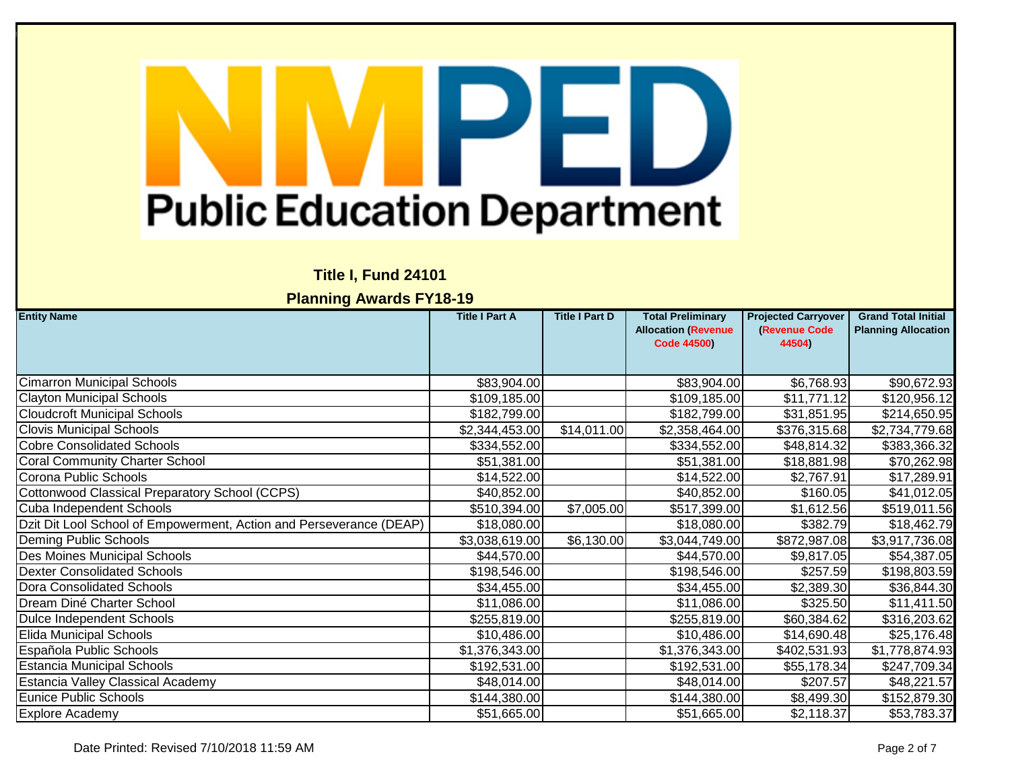#### **Title I, Fund 24101**

| <b>Entity Name</b>                                                  | <b>Title I Part A</b> | <b>Title I Part D</b> | <b>Total Preliminary</b>   | <b>Projected Carryover</b> | <b>Grand Total Initial</b> |
|---------------------------------------------------------------------|-----------------------|-----------------------|----------------------------|----------------------------|----------------------------|
|                                                                     |                       |                       | <b>Allocation (Revenue</b> | (Revenue Code              | <b>Planning Allocation</b> |
|                                                                     |                       |                       | <b>Code 44500)</b>         | 44504)                     |                            |
|                                                                     |                       |                       |                            |                            |                            |
| <b>Cimarron Municipal Schools</b>                                   | \$83,904.00           |                       | \$83,904.00                | \$6,768.93                 | \$90,672.93                |
| <b>Clayton Municipal Schools</b>                                    | \$109,185.00          |                       | \$109,185.00               | \$11,771.12                | \$120,956.12               |
| <b>Cloudcroft Municipal Schools</b>                                 | \$182,799.00          |                       | \$182,799.00               | \$31,851.95                | \$214,650.95               |
| <b>Clovis Municipal Schools</b>                                     | \$2,344,453.00        | \$14,011.00           | \$2,358,464.00             | \$376,315.68               | \$2,734,779.68             |
| <b>Cobre Consolidated Schools</b>                                   | \$334,552.00          |                       | \$334,552.00               | \$48,814.32                | \$383,366.32               |
| <b>Coral Community Charter School</b>                               | \$51,381.00           |                       | \$51,381.00                | \$18,881.98                | \$70,262.98                |
| Corona Public Schools                                               | \$14,522.00           |                       | \$14,522.00                | \$2,767.91                 | \$17,289.91                |
| Cottonwood Classical Preparatory School (CCPS)                      | \$40,852.00           |                       | \$40,852.00                | \$160.05                   | \$41,012.05                |
| Cuba Independent Schools                                            | \$510,394.00          | \$7,005.00            | \$517,399.00               | \$1,612.56                 | \$519,011.56               |
| Dzit Dit Lool School of Empowerment, Action and Perseverance (DEAP) | \$18,080.00           |                       | \$18,080.00                | \$382.79                   | \$18,462.79                |
| Deming Public Schools                                               | \$3,038,619.00        | \$6,130.00            | \$3,044,749.00             | \$872,987.08               | \$3,917,736.08             |
| Des Moines Municipal Schools                                        | \$44,570.00           |                       | \$44,570.00                | \$9,817.05                 | \$54,387.05                |
| <b>Dexter Consolidated Schools</b>                                  | \$198,546.00          |                       | \$198,546.00               | \$257.59                   | \$198,803.59               |
| Dora Consolidated Schools                                           | \$34,455.00           |                       | \$34,455.00                | \$2,389.30                 | \$36,844.30                |
| Dream Diné Charter School                                           | \$11,086.00           |                       | \$11,086.00                | \$325.50                   | \$11,411.50                |
| Dulce Independent Schools                                           | \$255,819.00          |                       | \$255,819.00               | \$60,384.62                | \$316,203.62               |
| <b>Elida Municipal Schools</b>                                      | \$10,486.00           |                       | \$10,486.00                | \$14,690.48                | \$25,176.48                |
| Española Public Schools                                             | \$1,376,343.00        |                       | \$1,376,343.00             | \$402,531.93               | \$1,778,874.93             |
| <b>Estancia Municipal Schools</b>                                   | \$192,531.00          |                       | \$192,531.00               | \$55,178.34                | \$247,709.34               |
| <b>Estancia Valley Classical Academy</b>                            | \$48,014.00           |                       | \$48,014.00                | \$207.57                   | \$48,221.57                |
| Eunice Public Schools                                               | \$144,380.00          |                       | \$144,380.00               | \$8,499.30                 | \$152,879.30               |
| Explore Academy                                                     | \$51,665.00           |                       | \$51,665.00                | \$2,118.37                 | \$53,783.37                |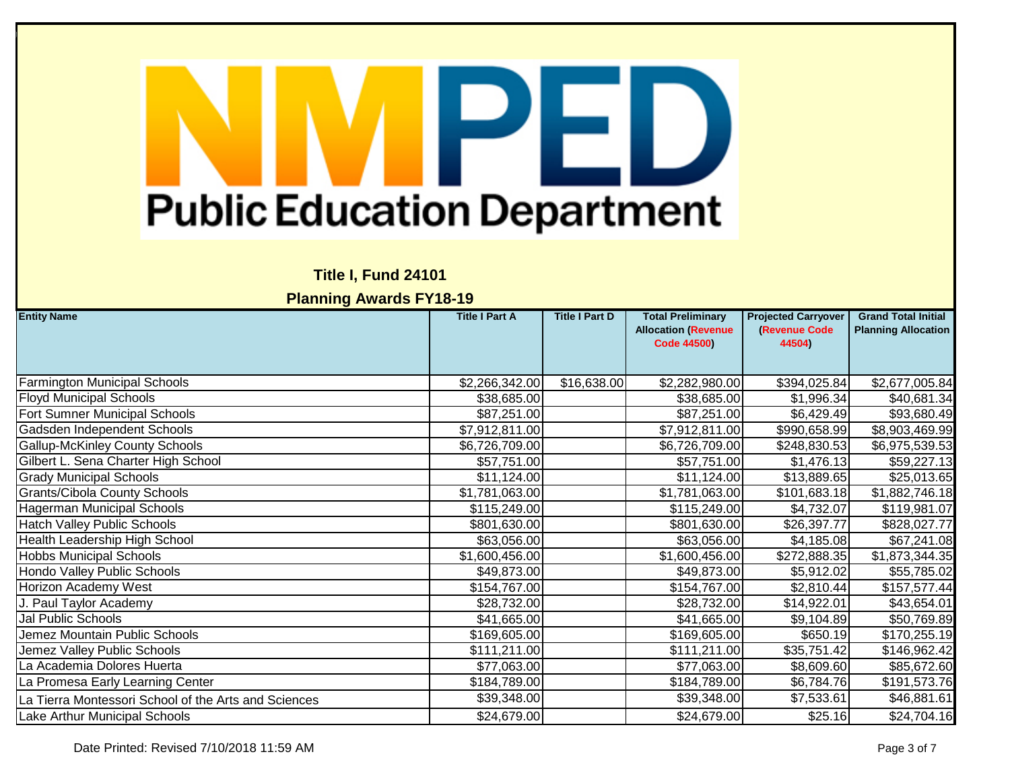#### **Title I, Fund 24101**

| <b>Entity Name</b>                                   | <b>Title I Part A</b> | <b>Title I Part D</b> | <b>Total Preliminary</b><br><b>Allocation (Revenue</b> | <b>Projected Carryover</b><br>(Revenue Code | <b>Grand Total Initial</b><br><b>Planning Allocation</b> |
|------------------------------------------------------|-----------------------|-----------------------|--------------------------------------------------------|---------------------------------------------|----------------------------------------------------------|
|                                                      |                       |                       | <b>Code 44500)</b>                                     | 44504)                                      |                                                          |
|                                                      |                       |                       |                                                        |                                             |                                                          |
| Farmington Municipal Schools                         | \$2,266,342.00        | \$16,638.00           | \$2,282,980.00                                         | \$394,025.84                                | $\overline{$2,677,005.84}$                               |
| <b>Floyd Municipal Schools</b>                       | \$38,685.00           |                       | \$38,685.00                                            | \$1,996.34                                  | \$40,681.34                                              |
| Fort Sumner Municipal Schools                        | \$87,251.00           |                       | \$87,251.00                                            | \$6,429.49                                  | \$93,680.49                                              |
| Gadsden Independent Schools                          | \$7,912,811.00        |                       | \$7,912,811.00                                         | \$990,658.99                                | \$8,903,469.99                                           |
| <b>Gallup-McKinley County Schools</b>                | \$6,726,709.00        |                       | \$6,726,709.00                                         | \$248,830.53                                | \$6,975,539.53                                           |
| Gilbert L. Sena Charter High School                  | \$57,751.00           |                       | \$57,751.00                                            | \$1,476.13                                  | \$59,227.13                                              |
| <b>Grady Municipal Schools</b>                       | \$11,124.00           |                       | \$11,124.00                                            | \$13,889.65                                 | \$25,013.65                                              |
| <b>Grants/Cibola County Schools</b>                  | \$1,781,063.00        |                       | \$1,781,063.00                                         | \$101,683.18                                | \$1,882,746.18                                           |
| <b>Hagerman Municipal Schools</b>                    | \$115,249.00          |                       | \$115,249.00                                           | \$4,732.07                                  | \$119,981.07                                             |
| <b>Hatch Valley Public Schools</b>                   | \$801,630.00          |                       | \$801,630.00                                           | \$26,397.77                                 | \$828,027.77                                             |
| <b>Health Leadership High School</b>                 | \$63,056.00           |                       | \$63,056.00                                            | \$4,185.08                                  | \$67,241.08                                              |
| <b>Hobbs Municipal Schools</b>                       | \$1,600,456.00        |                       | \$1,600,456.00                                         | \$272,888.35                                | \$1,873,344.35                                           |
| Hondo Valley Public Schools                          | \$49,873.00           |                       | \$49,873.00                                            | \$5,912.02                                  | \$55,785.02                                              |
| <b>Horizon Academy West</b>                          | \$154,767.00          |                       | \$154,767.00                                           | \$2,810.44                                  | \$157,577.44                                             |
| J. Paul Taylor Academy                               | \$28,732.00           |                       | \$28,732.00                                            | \$14,922.01                                 | \$43,654.01                                              |
| <b>Jal Public Schools</b>                            | \$41,665.00           |                       | \$41,665.00                                            | \$9,104.89                                  | \$50,769.89                                              |
| Jemez Mountain Public Schools                        | \$169,605.00          |                       | \$169,605.00                                           | \$650.19]                                   | \$170,255.19                                             |
| Jemez Valley Public Schools                          | \$111,211.00          |                       | \$111,211.00                                           | \$35,751.42                                 | \$146,962.42                                             |
| La Academia Dolores Huerta                           | \$77,063.00           |                       | \$77,063.00                                            | \$8,609.60                                  | \$85,672.60                                              |
| La Promesa Early Learning Center                     | \$184,789.00          |                       | \$184,789.00                                           | \$6,784.76                                  | \$191,573.76                                             |
| La Tierra Montessori School of the Arts and Sciences | \$39,348.00           |                       | \$39,348.00                                            | \$7,533.61                                  | \$46,881.61                                              |
| Lake Arthur Municipal Schools                        | \$24,679.00           |                       | \$24,679.00                                            | \$25.16                                     | \$24,704.16                                              |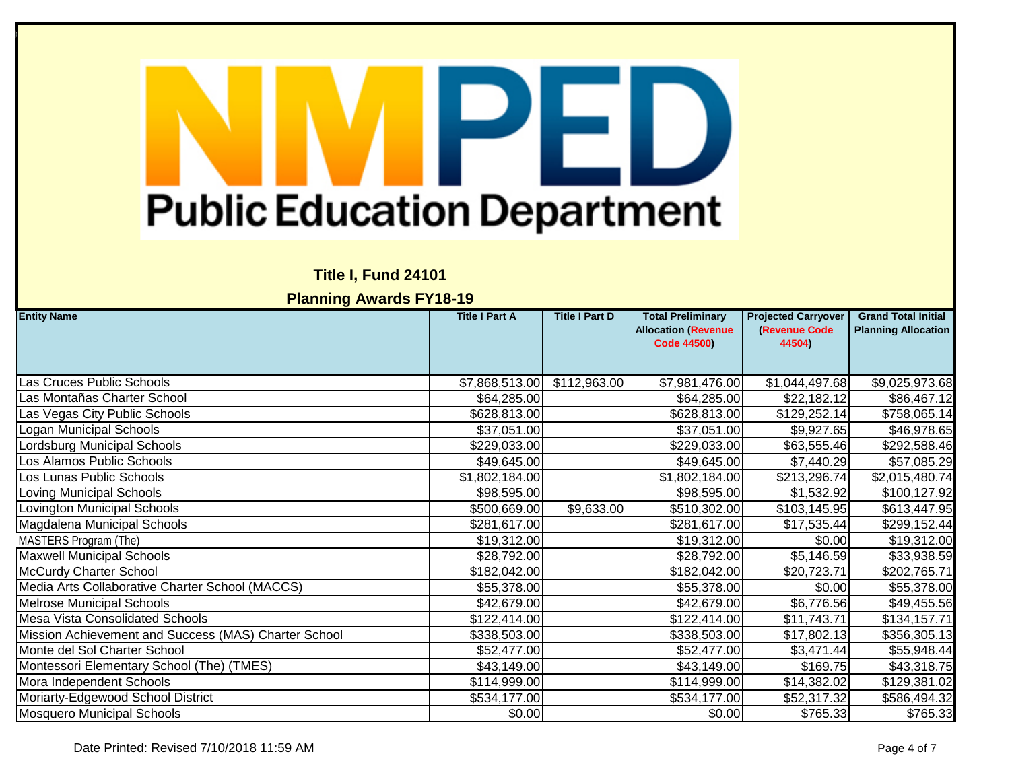### **Title I, Fund 24101**

| <b>Entity Name</b>                                   | <b>Title I Part A</b> | <b>Title I Part D</b> | <b>Total Preliminary</b>   | <b>Projected Carryover</b> | <b>Grand Total Initial</b> |
|------------------------------------------------------|-----------------------|-----------------------|----------------------------|----------------------------|----------------------------|
|                                                      |                       |                       | <b>Allocation (Revenue</b> | (Revenue Code              | <b>Planning Allocation</b> |
|                                                      |                       |                       | <b>Code 44500)</b>         | 44504)                     |                            |
|                                                      |                       |                       |                            |                            |                            |
| Las Cruces Public Schools                            | \$7,868,513.00        | \$112,963.00          | \$7,981,476.00             | \$1,044,497.68             | \$9,025,973.68             |
| Las Montañas Charter School                          | \$64,285.00           |                       | \$64,285.00                | \$22,182.12                | \$86,467.12                |
| Las Vegas City Public Schools                        | \$628,813.00          |                       | \$628,813.00               | \$129,252.14               | \$758,065.14               |
| Logan Municipal Schools                              | \$37,051.00           |                       | \$37,051.00                | \$9,927.65                 | \$46,978.65                |
| Lordsburg Municipal Schools                          | \$229,033.00          |                       | \$229,033.00               | \$63,555.46                | \$292,588.46               |
| Los Alamos Public Schools                            | \$49,645.00           |                       | \$49,645.00                | \$7,440.29                 | \$57,085.29                |
| Los Lunas Public Schools                             | \$1,802,184.00        |                       | \$1,802,184.00             | \$213,296.74               | \$2,015,480.74             |
| Loving Municipal Schools                             | \$98,595.00           |                       | \$98,595.00                | \$1,532.92                 | \$100,127.92               |
| Lovington Municipal Schools                          | \$500,669.00          | \$9,633.00            | \$510,302.00               | \$103,145.95               | \$613,447.95               |
| Magdalena Municipal Schools                          | \$281,617.00          |                       | \$281,617.00               | \$17,535.44                | \$299,152.44               |
| MASTERS Program (The)                                | \$19,312.00           |                       | \$19,312.00                | \$0.00                     | \$19,312.00                |
| <b>Maxwell Municipal Schools</b>                     | \$28,792.00           |                       | \$28,792.00                | \$5,146.59                 | \$33,938.59                |
| McCurdy Charter School                               | \$182,042.00          |                       | \$182,042.00               | \$20,723.71                | \$202,765.71               |
| Media Arts Collaborative Charter School (MACCS)      | \$55,378.00           |                       | \$55,378.00                | \$0.00                     | \$55,378.00                |
| <b>Melrose Municipal Schools</b>                     | \$42,679.00           |                       | \$42,679.00                | \$6,776.56                 | \$49,455.56                |
| <b>Mesa Vista Consolidated Schools</b>               | \$122,414.00          |                       | \$122,414.00               | \$11,743.71                | \$134,157.71               |
| Mission Achievement and Success (MAS) Charter School | \$338,503.00          |                       | \$338,503.00               | \$17,802.13                | \$356,305.13               |
| Monte del Sol Charter School                         | \$52,477.00           |                       | \$52,477.00                | \$3,471.44                 | \$55,948.44                |
| Montessori Elementary School (The) (TMES)            | \$43,149.00           |                       | \$43,149.00                | \$169.75                   | \$43,318.75                |
| Mora Independent Schools                             | \$114,999.00          |                       | \$114,999.00               | \$14,382.02                | \$129,381.02               |
| Moriarty-Edgewood School District                    | \$534,177.00          |                       | \$534,177.00               | \$52,317.32                | \$586,494.32               |
| <b>Mosquero Municipal Schools</b>                    | \$0.00                |                       | \$0.00                     | \$765.33                   | \$765.33                   |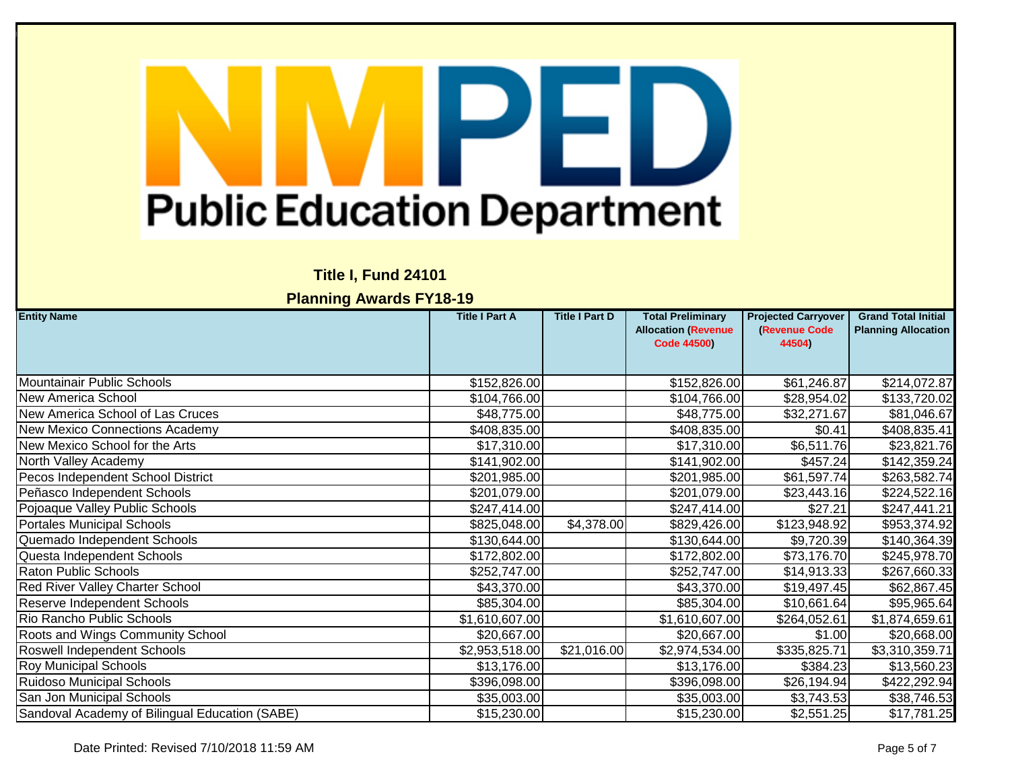### **Title I, Fund 24101**

| <b>Entity Name</b>                             | <b>Title I Part A</b> | <b>Title I Part D</b> | <b>Total Preliminary</b>   | <b>Projected Carryover</b> | <b>Grand Total Initial</b> |
|------------------------------------------------|-----------------------|-----------------------|----------------------------|----------------------------|----------------------------|
|                                                |                       |                       | <b>Allocation (Revenue</b> | (Revenue Code              | <b>Planning Allocation</b> |
|                                                |                       |                       | <b>Code 44500)</b>         | 44504)                     |                            |
|                                                |                       |                       |                            |                            |                            |
| Mountainair Public Schools                     | \$152,826.00          |                       | \$152,826.00               | \$61,246.87                | \$214,072.87               |
| <b>New America School</b>                      | \$104,766.00          |                       | \$104,766.00               | \$28,954.02                | \$133,720.02               |
| New America School of Las Cruces               | \$48,775.00           |                       | \$48,775.00                | \$32,271.67                | \$81,046.67                |
| New Mexico Connections Academy                 | \$408,835.00          |                       | \$408,835.00               | \$0.41                     | \$408,835.41               |
| New Mexico School for the Arts                 | \$17,310.00           |                       | \$17,310.00                | \$6,511.76                 | \$23,821.76                |
| North Valley Academy                           | \$141,902.00          |                       | \$141,902.00               | \$457.24                   | \$142,359.24               |
| Pecos Independent School District              | \$201,985.00          |                       | \$201,985.00               | \$61,597.74                | \$263,582.74               |
| Peñasco Independent Schools                    | \$201,079.00          |                       | \$201,079.00               | \$23,443.16                | \$224,522.16               |
| Pojoaque Valley Public Schools                 | \$247,414.00          |                       | \$247,414.00               | \$27.21                    | \$247,441.21               |
| <b>Portales Municipal Schools</b>              | \$825,048.00          | \$4,378.00            | \$829,426.00               | \$123,948.92               | \$953,374.92               |
| Quemado Independent Schools                    | \$130,644.00          |                       | \$130,644.00               | \$9,720.39                 | \$140,364.39               |
| Questa Independent Schools                     | \$172,802.00          |                       | \$172,802.00               | \$73,176.70                | \$245,978.70               |
| <b>Raton Public Schools</b>                    | \$252,747.00          |                       | \$252,747.00               | \$14,913.33                | \$267,660.33               |
| <b>Red River Valley Charter School</b>         | \$43,370.00           |                       | \$43,370.00                | \$19,497.45                | \$62,867.45                |
| <b>Reserve Independent Schools</b>             | \$85,304.00           |                       | \$85,304.00                | \$10,661.64                | \$95,965.64                |
| Rio Rancho Public Schools                      | \$1,610,607.00        |                       | \$1,610,607.00             | \$264,052.61               | \$1,874,659.61             |
| Roots and Wings Community School               | \$20,667.00           |                       | \$20,667.00                | \$1.00                     | \$20,668.00                |
| Roswell Independent Schools                    | \$2,953,518.00        | \$21,016.00           | \$2,974,534.00             | \$335,825.71               | \$3,310,359.71             |
| <b>Roy Municipal Schools</b>                   | \$13,176.00           |                       | \$13,176.00                | \$384.23                   | \$13,560.23                |
| <b>Ruidoso Municipal Schools</b>               | \$396,098.00          |                       | \$396,098.00               | \$26,194.94                | \$422,292.94               |
| San Jon Municipal Schools                      | \$35,003.00           |                       | \$35,003.00                | \$3,743.53                 | \$38,746.53                |
| Sandoval Academy of Bilingual Education (SABE) | \$15,230.00           |                       | \$15,230.00                | \$2,551.25                 | \$17,781.25                |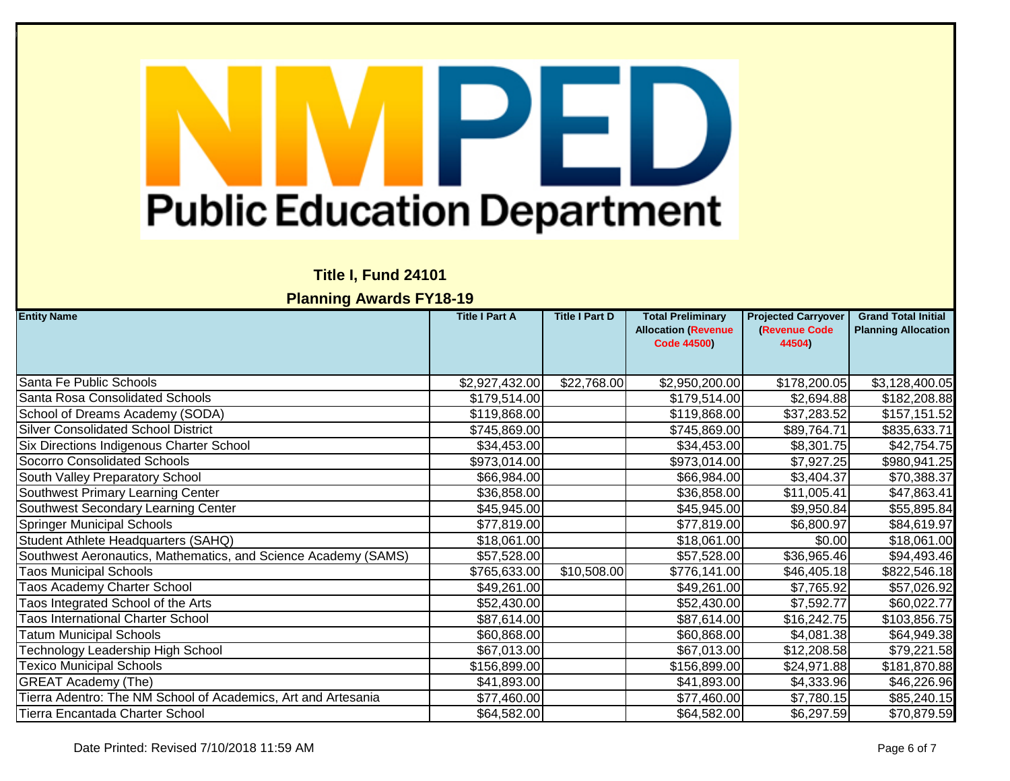### **Title I, Fund 24101**

| <b>Entity Name</b>                                             | <b>Title I Part A</b> | <b>Title I Part D</b> | <b>Total Preliminary</b>   | <b>Projected Carryover</b> | <b>Grand Total Initial</b> |
|----------------------------------------------------------------|-----------------------|-----------------------|----------------------------|----------------------------|----------------------------|
|                                                                |                       |                       | <b>Allocation (Revenue</b> | (Revenue Code              | <b>Planning Allocation</b> |
|                                                                |                       |                       | <b>Code 44500)</b>         | 44504)                     |                            |
|                                                                |                       |                       |                            |                            |                            |
| Santa Fe Public Schools                                        | \$2,927,432.00        | \$22,768.00           | \$2,950,200.00             | \$178,200.05               | \$3,128,400.05             |
| <b>Santa Rosa Consolidated Schools</b>                         | \$179,514.00          |                       | \$179,514.00               | \$2,694.88                 | \$182,208.88               |
| School of Dreams Academy (SODA)                                | \$119,868.00          |                       | \$119,868.00               | \$37,283.52                | \$157,151.52               |
| <b>Silver Consolidated School District</b>                     | \$745,869.00          |                       | \$745,869.00               | \$89,764.71                | \$835,633.71               |
| Six Directions Indigenous Charter School                       | \$34,453.00           |                       | \$34,453.00                | \$8,301.75                 | \$42,754.75                |
| <b>Socorro Consolidated Schools</b>                            | \$973,014.00          |                       | \$973,014.00               | \$7,927.25                 | \$980,941.25               |
| South Valley Preparatory School                                | \$66,984.00           |                       | \$66,984.00                | \$3,404.37                 | \$70,388.37                |
| Southwest Primary Learning Center                              | \$36,858.00           |                       | \$36,858.00                | \$11,005.41                | \$47,863.41                |
| <b>Southwest Secondary Learning Center</b>                     | \$45,945.00           |                       | \$45,945.00                | \$9,950.84                 | \$55,895.84                |
| <b>Springer Municipal Schools</b>                              | \$77,819.00           |                       | \$77,819.00                | \$6,800.97                 | \$84,619.97                |
| Student Athlete Headquarters (SAHQ)                            | \$18,061.00           |                       | \$18,061.00                | \$0.00                     | \$18,061.00                |
| Southwest Aeronautics, Mathematics, and Science Academy (SAMS) | \$57,528.00           |                       | \$57,528.00                | \$36,965.46                | \$94,493.46                |
| <b>Taos Municipal Schools</b>                                  | \$765,633.00          | \$10,508.00           | \$776,141.00               | \$46,405.18                | \$822,546.18               |
| Taos Academy Charter School                                    | \$49,261.00           |                       | \$49,261.00                | \$7,765.92                 | \$57,026.92                |
| Taos Integrated School of the Arts                             | \$52,430.00           |                       | \$52,430.00                | \$7,592.77                 | \$60,022.77                |
| <b>Taos International Charter School</b>                       | \$87,614.00           |                       | \$87,614.00                | \$16,242.75                | \$103,856.75               |
| <b>Tatum Municipal Schools</b>                                 | \$60,868.00           |                       | \$60,868.00                | \$4,081.38                 | \$64,949.38                |
| Technology Leadership High School                              | \$67,013.00           |                       | \$67,013.00                | \$12,208.58                | \$79,221.58                |
| <b>Texico Municipal Schools</b>                                | \$156,899.00          |                       | \$156,899.00               | \$24,971.88                | \$181,870.88               |
| <b>GREAT Academy (The)</b>                                     | \$41,893.00           |                       | \$41,893.00                | \$4,333.96                 | \$46,226.96                |
| Tierra Adentro: The NM School of Academics, Art and Artesania  | \$77,460.00           |                       | \$77,460.00                | \$7,780.15                 | \$85,240.15                |
| Tierra Encantada Charter School                                | \$64,582.00           |                       | \$64,582.00                | \$6,297.59                 | \$70,879.59                |